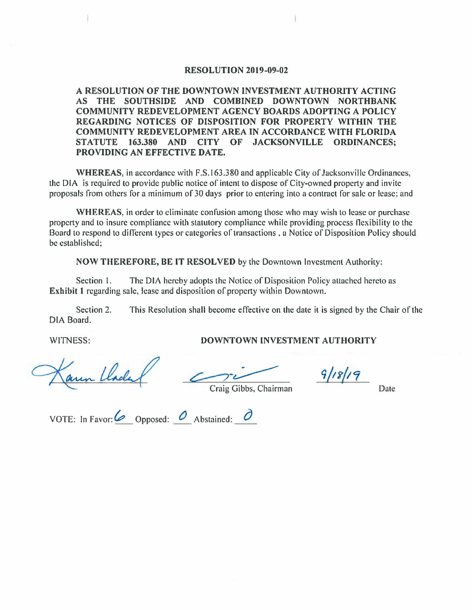#### **RESOLUTION 2019-09-02**

**A RESOLUTION OF THE DOWNTOWN INVESTMENT AUTHORITY ACTING AS THE SOUTHSIDE AND COMBINED DOWNTOWN NORTHBANK COMMUNITY REDEVELOPMENT AGENCY BOARDS ADOPTING A POLICY REGARDING NOTICES OF DISPOSITION FOR PROPERTY WITHIN THE COMMUNITY REDEVELOPMENT AREA IN ACCORDANCE WITH FLORIDA STATUTE 163.380 AND CITY OF JACKSONVILLE ORDINANCES; PROVIDING AN EFFECTIVE DATE.** 

**WHEREAS,** in accordance with F.S.163.380 and applicable City of Jacksonville Ordinances, the DIA is required to provide public notice of intent to dispose of City-owned property and invite proposals from others for a minimum of 30 days prior to entering into a contract for sale or lease: and

**WHEREAS,** in order to eliminate confusion among those who may wish to lease or purchase property and to insure compliance with statutory compliance while providing process flexibility to the Board to respond to different types or categories of transactions , a Notice of Disposition Policy should be established;

**NOW THEREFORE, BE IT RESOLVED** by the Downtown Investment Authority:

Section I. The DIA hereby adopts the Notice of Disposition Policy attached hereto as **Exhibit 1** regarding sale, lease and disposition of property within Downtown.

Section 2. This Resolution shall become effective on the date it is signed by the Chair of the DIA Board.

WITNESS: **DOWNTOWN INVESTMENT AUTHORITY** 

DOWNTOWN INVESTITE<br>Craig Gibbs Chairman

 $9/18/19$ 

Craig Gibbs, Chairman Date

VOTE: In Favor:  $\omega$  Opposed:  $\omega$  Abstained:  $\omega$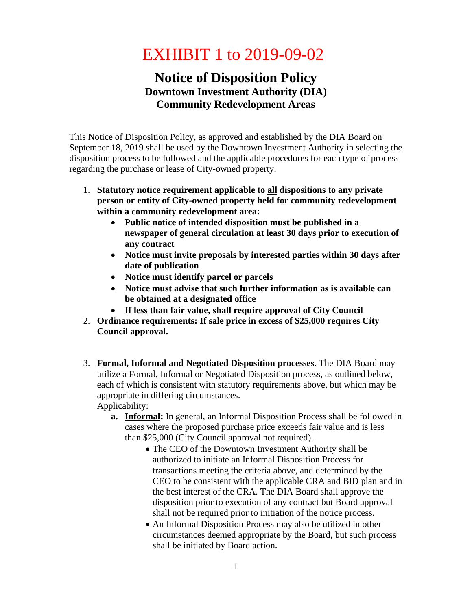# EXHIBIT 1 to 2019-09-02

## **Notice of Disposition Policy Downtown Investment Authority (DIA) Community Redevelopment Areas**

This Notice of Disposition Policy, as approved and established by the DIA Board on September 18, 2019 shall be used by the Downtown Investment Authority in selecting the disposition process to be followed and the applicable procedures for each type of process regarding the purchase or lease of City-owned property.

- 1. **Statutory notice requirement applicable to all dispositions to any private person or entity of City-owned property held for community redevelopment within a community redevelopment area:**
	- **Public notice of intended disposition must be published in a newspaper of general circulation at least 30 days prior to execution of any contract**
	- **Notice must invite proposals by interested parties within 30 days after date of publication**
	- **Notice must identify parcel or parcels**
	- **Notice must advise that such further information as is available can be obtained at a designated office**
	- **If less than fair value, shall require approval of City Council**
- 2. **Ordinance requirements: If sale price in excess of \$25,000 requires City Council approval.**
- 3. **Formal, Informal and Negotiated Disposition processes**. The DIA Board may utilize a Formal, Informal or Negotiated Disposition process, as outlined below, each of which is consistent with statutory requirements above, but which may be appropriate in differing circumstances. Applicability:
	- **a. Informal:** In general, an Informal Disposition Process shall be followed in cases where the proposed purchase price exceeds fair value and is less than \$25,000 (City Council approval not required).
		- The CEO of the Downtown Investment Authority shall be authorized to initiate an Informal Disposition Process for transactions meeting the criteria above, and determined by the CEO to be consistent with the applicable CRA and BID plan and in the best interest of the CRA. The DIA Board shall approve the disposition prior to execution of any contract but Board approval shall not be required prior to initiation of the notice process.
		- An Informal Disposition Process may also be utilized in other circumstances deemed appropriate by the Board, but such process shall be initiated by Board action.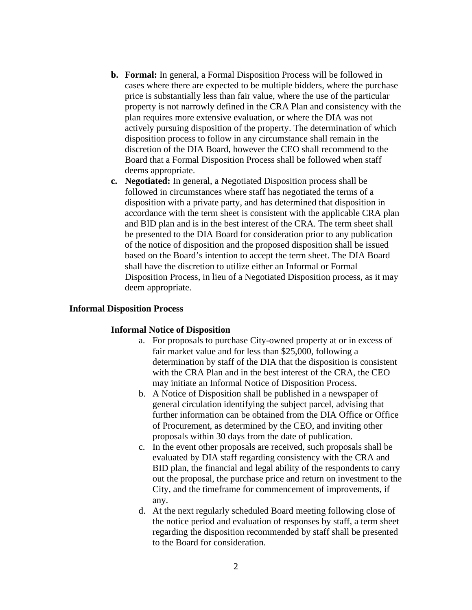- **b. Formal:** In general, a Formal Disposition Process will be followed in cases where there are expected to be multiple bidders, where the purchase price is substantially less than fair value, where the use of the particular property is not narrowly defined in the CRA Plan and consistency with the plan requires more extensive evaluation, or where the DIA was not actively pursuing disposition of the property. The determination of which disposition process to follow in any circumstance shall remain in the discretion of the DIA Board, however the CEO shall recommend to the Board that a Formal Disposition Process shall be followed when staff deems appropriate.
- **c. Negotiated:** In general, a Negotiated Disposition process shall be followed in circumstances where staff has negotiated the terms of a disposition with a private party, and has determined that disposition in accordance with the term sheet is consistent with the applicable CRA plan and BID plan and is in the best interest of the CRA. The term sheet shall be presented to the DIA Board for consideration prior to any publication of the notice of disposition and the proposed disposition shall be issued based on the Board's intention to accept the term sheet. The DIA Board shall have the discretion to utilize either an Informal or Formal Disposition Process, in lieu of a Negotiated Disposition process, as it may deem appropriate.

### **Informal Disposition Process**

### **Informal Notice of Disposition**

- a. For proposals to purchase City-owned property at or in excess of fair market value and for less than \$25,000, following a determination by staff of the DIA that the disposition is consistent with the CRA Plan and in the best interest of the CRA, the CEO may initiate an Informal Notice of Disposition Process.
- b. A Notice of Disposition shall be published in a newspaper of general circulation identifying the subject parcel, advising that further information can be obtained from the DIA Office or Office of Procurement, as determined by the CEO, and inviting other proposals within 30 days from the date of publication.
- c. In the event other proposals are received, such proposals shall be evaluated by DIA staff regarding consistency with the CRA and BID plan, the financial and legal ability of the respondents to carry out the proposal, the purchase price and return on investment to the City, and the timeframe for commencement of improvements, if any.
- d. At the next regularly scheduled Board meeting following close of the notice period and evaluation of responses by staff, a term sheet regarding the disposition recommended by staff shall be presented to the Board for consideration.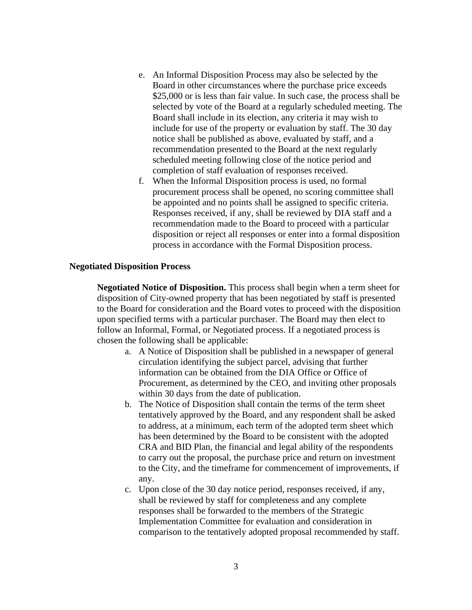- e. An Informal Disposition Process may also be selected by the Board in other circumstances where the purchase price exceeds \$25,000 or is less than fair value. In such case, the process shall be selected by vote of the Board at a regularly scheduled meeting. The Board shall include in its election, any criteria it may wish to include for use of the property or evaluation by staff. The 30 day notice shall be published as above, evaluated by staff, and a recommendation presented to the Board at the next regularly scheduled meeting following close of the notice period and completion of staff evaluation of responses received.
- f. When the Informal Disposition process is used, no formal procurement process shall be opened, no scoring committee shall be appointed and no points shall be assigned to specific criteria. Responses received, if any, shall be reviewed by DIA staff and a recommendation made to the Board to proceed with a particular disposition or reject all responses or enter into a formal disposition process in accordance with the Formal Disposition process.

#### **Negotiated Disposition Process**

**Negotiated Notice of Disposition.** This process shall begin when a term sheet for disposition of City-owned property that has been negotiated by staff is presented to the Board for consideration and the Board votes to proceed with the disposition upon specified terms with a particular purchaser. The Board may then elect to follow an Informal, Formal, or Negotiated process. If a negotiated process is chosen the following shall be applicable:

- a. A Notice of Disposition shall be published in a newspaper of general circulation identifying the subject parcel, advising that further information can be obtained from the DIA Office or Office of Procurement, as determined by the CEO, and inviting other proposals within 30 days from the date of publication.
- b. The Notice of Disposition shall contain the terms of the term sheet tentatively approved by the Board, and any respondent shall be asked to address, at a minimum, each term of the adopted term sheet which has been determined by the Board to be consistent with the adopted CRA and BID Plan, the financial and legal ability of the respondents to carry out the proposal, the purchase price and return on investment to the City, and the timeframe for commencement of improvements, if any.
- c. Upon close of the 30 day notice period, responses received, if any, shall be reviewed by staff for completeness and any complete responses shall be forwarded to the members of the Strategic Implementation Committee for evaluation and consideration in comparison to the tentatively adopted proposal recommended by staff.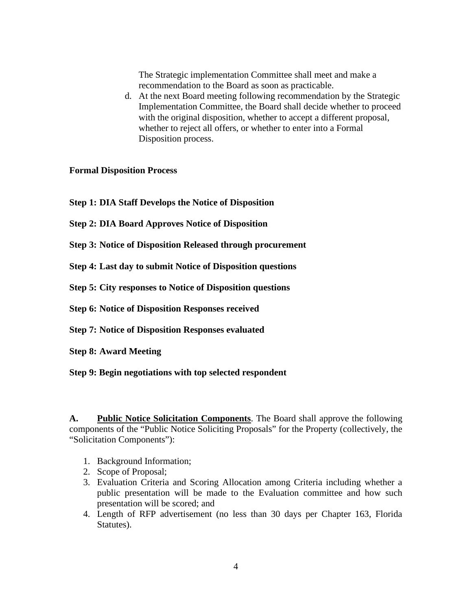The Strategic implementation Committee shall meet and make a recommendation to the Board as soon as practicable.

d. At the next Board meeting following recommendation by the Strategic Implementation Committee, the Board shall decide whether to proceed with the original disposition, whether to accept a different proposal, whether to reject all offers, or whether to enter into a Formal Disposition process.

**Formal Disposition Process**

- **Step 1: DIA Staff Develops the Notice of Disposition**
- **Step 2: DIA Board Approves Notice of Disposition**
- **Step 3: Notice of Disposition Released through procurement**
- **Step 4: Last day to submit Notice of Disposition questions**
- **Step 5: City responses to Notice of Disposition questions**
- **Step 6: Notice of Disposition Responses received**
- **Step 7: Notice of Disposition Responses evaluated**
- **Step 8: Award Meeting**

### **Step 9: Begin negotiations with top selected respondent**

**A. Public Notice Solicitation Components**. The Board shall approve the following components of the "Public Notice Soliciting Proposals" for the Property (collectively, the "Solicitation Components"):

- 1. Background Information;
- 2. Scope of Proposal;
- 3. Evaluation Criteria and Scoring Allocation among Criteria including whether a public presentation will be made to the Evaluation committee and how such presentation will be scored; and
- 4. Length of RFP advertisement (no less than 30 days per Chapter 163, Florida Statutes).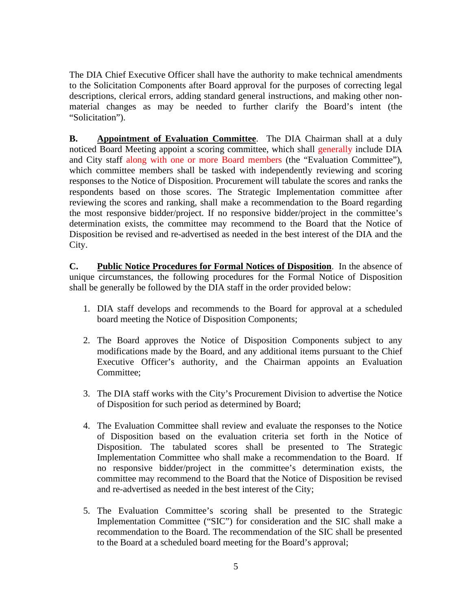The DIA Chief Executive Officer shall have the authority to make technical amendments to the Solicitation Components after Board approval for the purposes of correcting legal descriptions, clerical errors, adding standard general instructions, and making other nonmaterial changes as may be needed to further clarify the Board's intent (the "Solicitation").

**B. Appointment of Evaluation Committee**. The DIA Chairman shall at a duly noticed Board Meeting appoint a scoring committee, which shall generally include DIA and City staff along with one or more Board members (the "Evaluation Committee"), which committee members shall be tasked with independently reviewing and scoring responses to the Notice of Disposition. Procurement will tabulate the scores and ranks the respondents based on those scores. The Strategic Implementation committee after reviewing the scores and ranking, shall make a recommendation to the Board regarding the most responsive bidder/project. If no responsive bidder/project in the committee's determination exists, the committee may recommend to the Board that the Notice of Disposition be revised and re-advertised as needed in the best interest of the DIA and the City.

**C. Public Notice Procedures for Formal Notices of Disposition**. In the absence of unique circumstances, the following procedures for the Formal Notice of Disposition shall be generally be followed by the DIA staff in the order provided below:

- 1. DIA staff develops and recommends to the Board for approval at a scheduled board meeting the Notice of Disposition Components;
- 2. The Board approves the Notice of Disposition Components subject to any modifications made by the Board, and any additional items pursuant to the Chief Executive Officer's authority, and the Chairman appoints an Evaluation Committee;
- 3. The DIA staff works with the City's Procurement Division to advertise the Notice of Disposition for such period as determined by Board;
- 4. The Evaluation Committee shall review and evaluate the responses to the Notice of Disposition based on the evaluation criteria set forth in the Notice of Disposition. The tabulated scores shall be presented to The Strategic Implementation Committee who shall make a recommendation to the Board. If no responsive bidder/project in the committee's determination exists, the committee may recommend to the Board that the Notice of Disposition be revised and re-advertised as needed in the best interest of the City;
- 5. The Evaluation Committee's scoring shall be presented to the Strategic Implementation Committee ("SIC") for consideration and the SIC shall make a recommendation to the Board. The recommendation of the SIC shall be presented to the Board at a scheduled board meeting for the Board's approval;